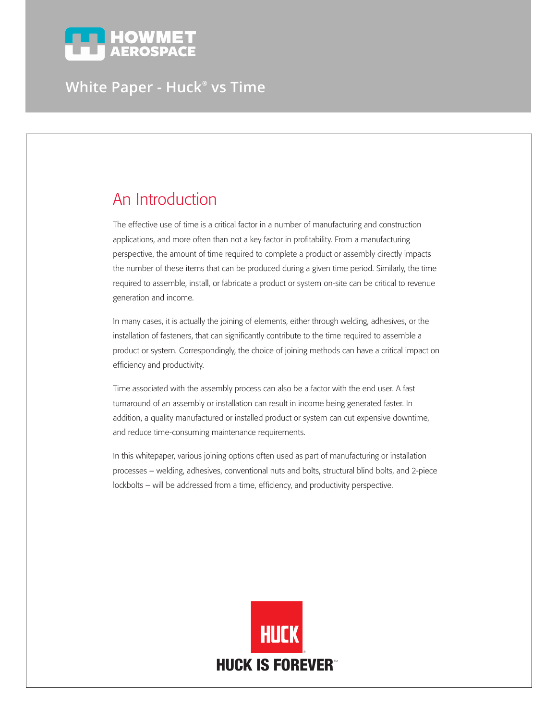

# **White Paper - Huck® vs Time**

# An Introduction

The effective use of time is a critical factor in a number of manufacturing and construction applications, and more often than not a key factor in profitability. From a manufacturing perspective, the amount of time required to complete a product or assembly directly impacts the number of these items that can be produced during a given time period. Similarly, the time required to assemble, install, or fabricate a product or system on-site can be critical to revenue generation and income.

In many cases, it is actually the joining of elements, either through welding, adhesives, or the installation of fasteners, that can significantly contribute to the time required to assemble a product or system. Correspondingly, the choice of joining methods can have a critical impact on efficiency and productivity.

Time associated with the assembly process can also be a factor with the end user. A fast turnaround of an assembly or installation can result in income being generated faster. In addition, a quality manufactured or installed product or system can cut expensive downtime, and reduce time-consuming maintenance requirements.

In this whitepaper, various joining options often used as part of manufacturing or installation processes – welding, adhesives, conventional nuts and bolts, structural blind bolts, and 2-piece lockbolts – will be addressed from a time, efficiency, and productivity perspective.

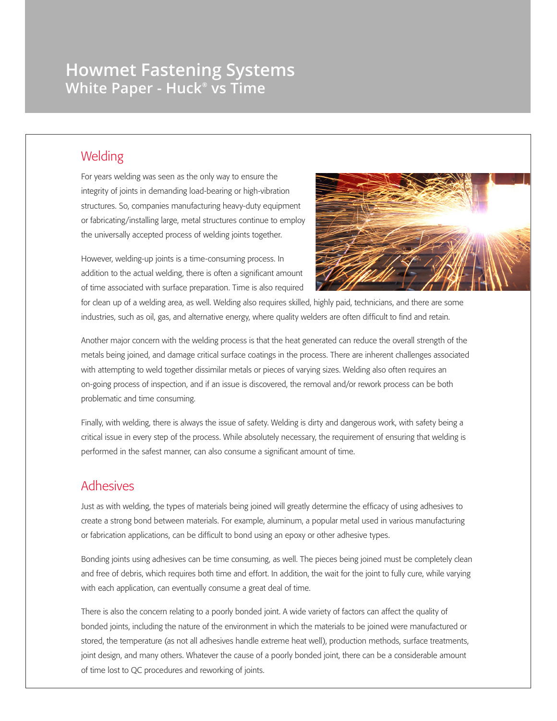# **Howmet Fastening Systems White Paper - Huck® vs Time**

#### **Welding**

For years welding was seen as the only way to ensure the integrity of joints in demanding load-bearing or high-vibration structures. So, companies manufacturing heavy-duty equipment or fabricating/installing large, metal structures continue to employ the universally accepted process of welding joints together.

However, welding-up joints is a time-consuming process. In addition to the actual welding, there is often a significant amount of time associated with surface preparation. Time is also required



for clean up of a welding area, as well. Welding also requires skilled, highly paid, technicians, and there are some industries, such as oil, gas, and alternative energy, where quality welders are often difficult to find and retain.

Another major concern with the welding process is that the heat generated can reduce the overall strength of the metals being joined, and damage critical surface coatings in the process. There are inherent challenges associated with attempting to weld together dissimilar metals or pieces of varying sizes. Welding also often requires an on-going process of inspection, and if an issue is discovered, the removal and/or rework process can be both problematic and time consuming.

Finally, with welding, there is always the issue of safety. Welding is dirty and dangerous work, with safety being a critical issue in every step of the process. While absolutely necessary, the requirement of ensuring that welding is performed in the safest manner, can also consume a significant amount of time.

#### Adhesives

Just as with welding, the types of materials being joined will greatly determine the efficacy of using adhesives to create a strong bond between materials. For example, aluminum, a popular metal used in various manufacturing or fabrication applications, can be difficult to bond using an epoxy or other adhesive types.

Bonding joints using adhesives can be time consuming, as well. The pieces being joined must be completely clean and free of debris, which requires both time and effort. In addition, the wait for the joint to fully cure, while varying with each application, can eventually consume a great deal of time.

There is also the concern relating to a poorly bonded joint. A wide variety of factors can affect the quality of bonded joints, including the nature of the environment in which the materials to be joined were manufactured or stored, the temperature (as not all adhesives handle extreme heat well), production methods, surface treatments, joint design, and many others. Whatever the cause of a poorly bonded joint, there can be a considerable amount of time lost to QC procedures and reworking of joints.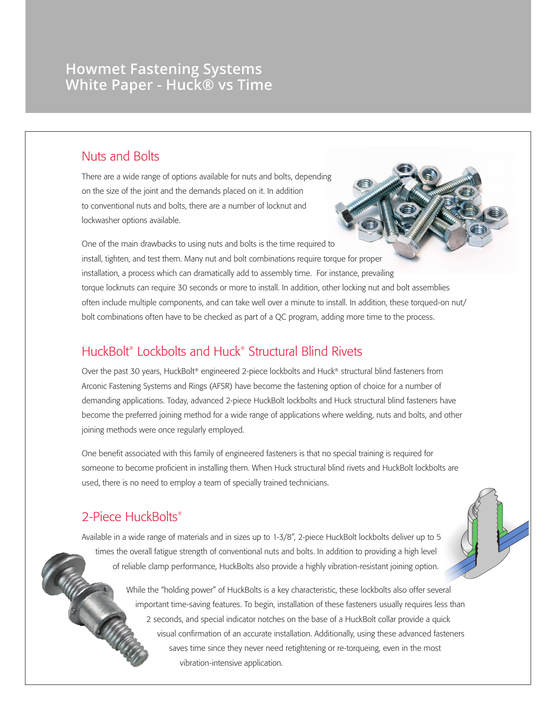## **Howmet Fastening Systems White Paper - Huck® vs Time**

#### Nuts and Bolts

There are a wide range of options available for nuts and bolts, depending on the size of the joint and the demands placed on it. In addition to conventional nuts and bolts, there are a number of locknut and lockwasher options available.

One of the main drawbacks to using nuts and bolts is the time required to install, tighten, and test them. Many nut and bolt combinations require torque for proper installation, a process which can dramatically add to assembly time. For instance, prevailing torque locknuts can require 30 seconds or more to install. In addition, other locking nut and bolt assemblies often include multiple components, and can take well over a minute to install. In addition, these torqued-on nut/ bolt combinations often have to be checked as part of a QC program, adding more time to the process.

## HuckBolt® Lockbolts and Huck® Structural Blind Rivets

Over the past 30 years, HuckBolt® engineered 2-piece lockbolts and Huck® structural blind fasteners from Arconic Fastening Systems and Rings (AFSR) have become the fastening option of choice for a number of demanding applications. Today, advanced 2-piece HuckBolt lockbolts and Huck structural blind fasteners have become the preferred joining method for a wide range of applications where welding, nuts and bolts, and other joining methods were once regularly employed.

One benefit associated with this family of engineered fasteners is that no special training is required for someone to become proficient in installing them. When Huck structural blind rivets and HuckBolt lockbolts are used, there is no need to employ a team of specially trained technicians.

## 2-Piece HuckBolts®

Available in a wide range of materials and in sizes up to 1-3/8", 2-piece HuckBolt lockbolts deliver up to 5 times the overall fatigue strength of conventional nuts and bolts. In addition to providing a high level of reliable clamp performance, HuckBolts also provide a highly vibration-resistant joining option.

> While the "holding power" of HuckBolts is a key characteristic, these lockbolts also offer several important time-saving features. To begin, installation of these fasteners usually requires less than 2 seconds, and special indicator notches on the base of a HuckBolt collar provide a quick visual confirmation of an accurate installation. Additionally, using these advanced fasteners saves time since they never need retightening or re-torqueing, even in the most vibration-intensive application.